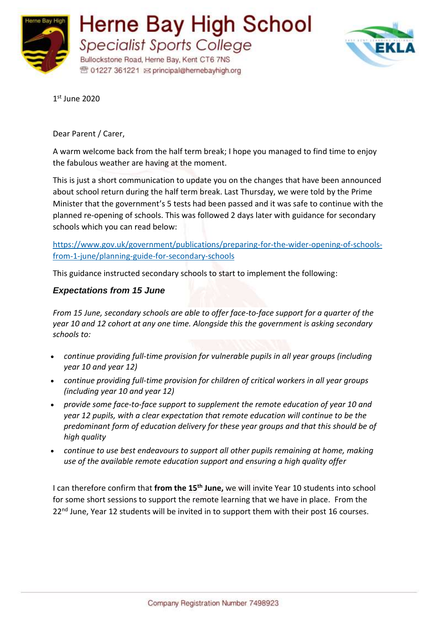



1 st June 2020

Dear Parent / Carer,

A warm welcome back from the half term break; I hope you managed to find time to enjoy the fabulous weather are having at the moment.

This is just a short communication to update you on the changes that have been announced about school return during the half term break. Last Thursday, we were told by the Prime Minister that the government's 5 tests had been passed and it was safe to continue with the planned re-opening of schools. This was followed 2 days later with guidance for secondary schools which you can read below:

[https://www.gov.uk/government/publications/preparing-for-the-wider-opening-of-schools](https://www.gov.uk/government/publications/preparing-for-the-wider-opening-of-schools-from-1-june/planning-guide-for-secondary-schools)[from-1-june/planning-guide-for-secondary-schools](https://www.gov.uk/government/publications/preparing-for-the-wider-opening-of-schools-from-1-june/planning-guide-for-secondary-schools)

This guidance instructed secondary schools to start to implement the following:

## *Expectations from 15 June*

*From 15 June, secondary schools are able to offer face-to-face support for a quarter of the year 10 and 12 cohort at any one time. Alongside this the government is asking secondary schools to:*

- *continue providing full-time provision for vulnerable pupils in all year groups (including year 10 and year 12)*
- *continue providing full-time provision for children of critical workers in all year groups (including year 10 and year 12)*
- *provide some face-to-face support to supplement the remote education of year 10 and year 12 pupils, with a clear expectation that remote education will continue to be the predominant form of education delivery for these year groups and that this should be of high quality*
- *continue to use best endeavours to support all other pupils remaining at home, making use of the available remote education support and ensuring a high quality offer*

I can therefore confirm that **from the 15th June,** we will invite Year 10 students into school for some short sessions to support the remote learning that we have in place. From the 22<sup>nd</sup> June. Year 12 students will be invited in to support them with their post 16 courses.